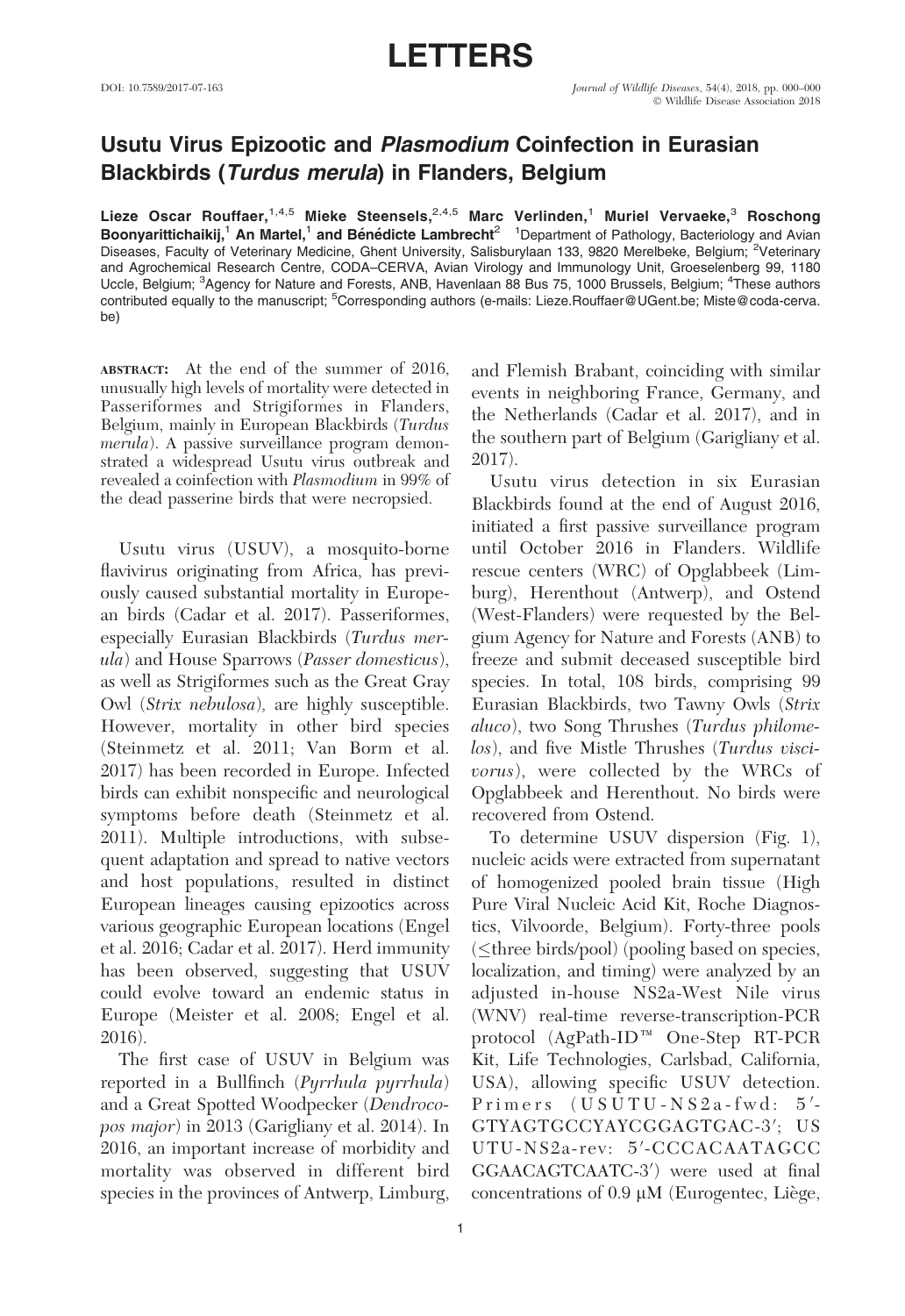## LETTERS

## Usutu Virus Epizootic and Plasmodium Coinfection in Eurasian Blackbirds (Turdus merula) in Flanders, Belgium

Lieze Oscar Rouffaer,  $1.4,5$  Mieke Steensels,  $2.4,5$  Marc Verlinden, <sup>1</sup> Muriel Vervaeke, <sup>3</sup> Roschong Boonyarittichaikij,<sup>1</sup> An Martel,<sup>1</sup> and Bénédicte Lambrecht<sup>2</sup> <sup>1</sup>Department of Pathology, Bacteriology and Avian Diseases, Faculty of Veterinary Medicine, Ghent University, Salisburylaan 133, 9820 Merelbeke, Belgium; <sup>2</sup>Veterinary and Agrochemical Research Centre, CODA–CERVA, Avian Virology and Immunology Unit, Groeselenberg 99, 1180 Uccle, Belgium; <sup>3</sup>Agency for Nature and Forests, ANB, Havenlaan 88 Bus 75, 1000 Brussels, Belgium; <sup>4</sup>These authors contributed equally to the manuscript; <sup>5</sup>Corresponding authors (e-mails: Lieze.Rouffaer@UGent.be; Miste@coda-cerva. be)

ABSTRACT: At the end of the summer of 2016, unusually high levels of mortality were detected in Passeriformes and Strigiformes in Flanders, Belgium, mainly in European Blackbirds (Turdus merula). A passive surveillance program demonstrated a widespread Usutu virus outbreak and revealed a coinfection with Plasmodium in 99% of the dead passerine birds that were necropsied.

Usutu virus (USUV), a mosquito-borne flavivirus originating from Africa, has previously caused substantial mortality in European birds (Cadar et al. 2017). Passeriformes, especially Eurasian Blackbirds (Turdus merula) and House Sparrows (Passer domesticus), as well as Strigiformes such as the Great Gray Owl (Strix nebulosa), are highly susceptible. However, mortality in other bird species (Steinmetz et al. 2011; Van Borm et al. 2017) has been recorded in Europe. Infected birds can exhibit nonspecific and neurological symptoms before death (Steinmetz et al. 2011). Multiple introductions, with subsequent adaptation and spread to native vectors and host populations, resulted in distinct European lineages causing epizootics across various geographic European locations (Engel et al. 2016; Cadar et al. 2017). Herd immunity has been observed, suggesting that USUV could evolve toward an endemic status in Europe (Meister et al. 2008; Engel et al. 2016).

The first case of USUV in Belgium was reported in a Bullfinch (Pyrrhula pyrrhula) and a Great Spotted Woodpecker (Dendrocopos major) in 2013 (Garigliany et al. 2014). In 2016, an important increase of morbidity and mortality was observed in different bird species in the provinces of Antwerp, Limburg, and Flemish Brabant, coinciding with similar events in neighboring France, Germany, and the Netherlands (Cadar et al. 2017), and in the southern part of Belgium (Garigliany et al. 2017).

Usutu virus detection in six Eurasian Blackbirds found at the end of August 2016, initiated a first passive surveillance program until October 2016 in Flanders. Wildlife rescue centers (WRC) of Opglabbeek (Limburg), Herenthout (Antwerp), and Ostend (West-Flanders) were requested by the Belgium Agency for Nature and Forests (ANB) to freeze and submit deceased susceptible bird species. In total, 108 birds, comprising 99 Eurasian Blackbirds, two Tawny Owls (Strix aluco), two Song Thrushes (Turdus philomelos), and five Mistle Thrushes (Turdus viscivorus), were collected by the WRCs of Opglabbeek and Herenthout. No birds were recovered from Ostend.

To determine USUV dispersion (Fig. 1), nucleic acids were extracted from supernatant of homogenized pooled brain tissue (High Pure Viral Nucleic Acid Kit, Roche Diagnostics, Vilvoorde, Belgium). Forty-three pools (≤three birds/pool) (pooling based on species, localization, and timing) were analyzed by an adjusted in-house NS2a-West Nile virus (WNV) real-time reverse-transcription-PCR protocol  $(AgPath-ID^M$  One-Step RT-PCR Kit, Life Technologies, Carlsbad, California, USA), allowing specific USUV detection. Primers (USUTU-NS2a-fwd: 5'-GTYAGTGCCYAYCGGAGTGAC-3'; US UTU-NS2a-rev: 5'-CCCACAATAGCC GGAACAGTCAATC-3') were used at final concentrations of  $0.9 \mu M$  (Eurogentec, Liège,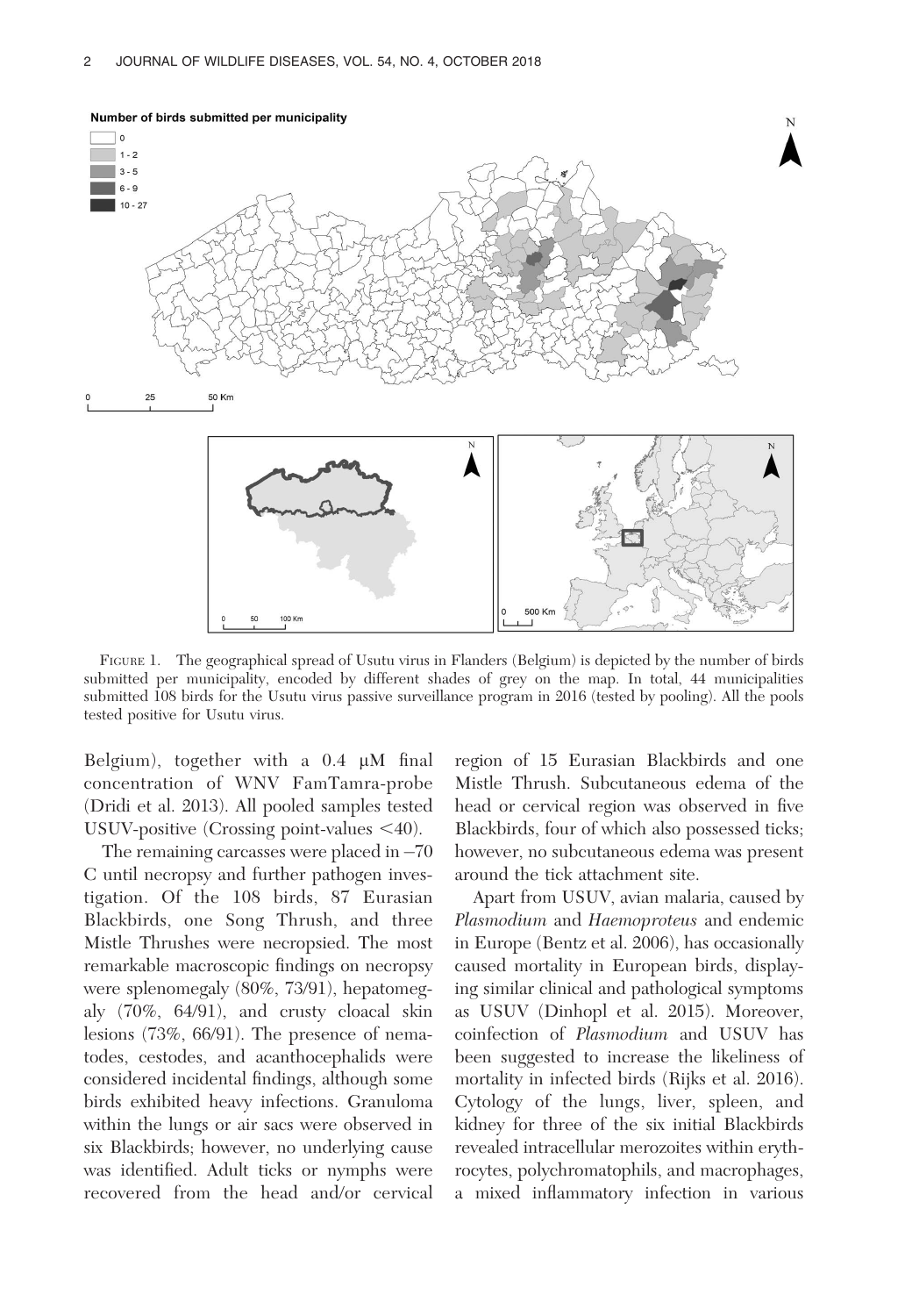

FIGURE 1. The geographical spread of Usutu virus in Flanders (Belgium) is depicted by the number of birds submitted per municipality, encoded by different shades of grey on the map. In total, 44 municipalities submitted 108 birds for the Usutu virus passive surveillance program in 2016 (tested by pooling). All the pools tested positive for Usutu virus.

Belgium), together with a  $0.4 \mu M$  final concentration of WNV FamTamra-probe (Dridi et al. 2013). All pooled samples tested USUV-positive (Crossing point-values  $\leq 40$ ).

The remaining carcasses were placed in  $-70$ C until necropsy and further pathogen investigation. Of the 108 birds, 87 Eurasian Blackbirds, one Song Thrush, and three Mistle Thrushes were necropsied. The most remarkable macroscopic findings on necropsy were splenomegaly (80%, 73/91), hepatomegaly (70%, 64/91), and crusty cloacal skin lesions (73%, 66/91). The presence of nematodes, cestodes, and acanthocephalids were considered incidental findings, although some birds exhibited heavy infections. Granuloma within the lungs or air sacs were observed in six Blackbirds; however, no underlying cause was identified. Adult ticks or nymphs were recovered from the head and/or cervical region of 15 Eurasian Blackbirds and one Mistle Thrush. Subcutaneous edema of the head or cervical region was observed in five Blackbirds, four of which also possessed ticks; however, no subcutaneous edema was present around the tick attachment site.

Apart from USUV, avian malaria, caused by Plasmodium and Haemoproteus and endemic in Europe (Bentz et al. 2006), has occasionally caused mortality in European birds, displaying similar clinical and pathological symptoms as USUV (Dinhopl et al. 2015). Moreover, coinfection of Plasmodium and USUV has been suggested to increase the likeliness of mortality in infected birds (Rijks et al. 2016). Cytology of the lungs, liver, spleen, and kidney for three of the six initial Blackbirds revealed intracellular merozoites within erythrocytes, polychromatophils, and macrophages, a mixed inflammatory infection in various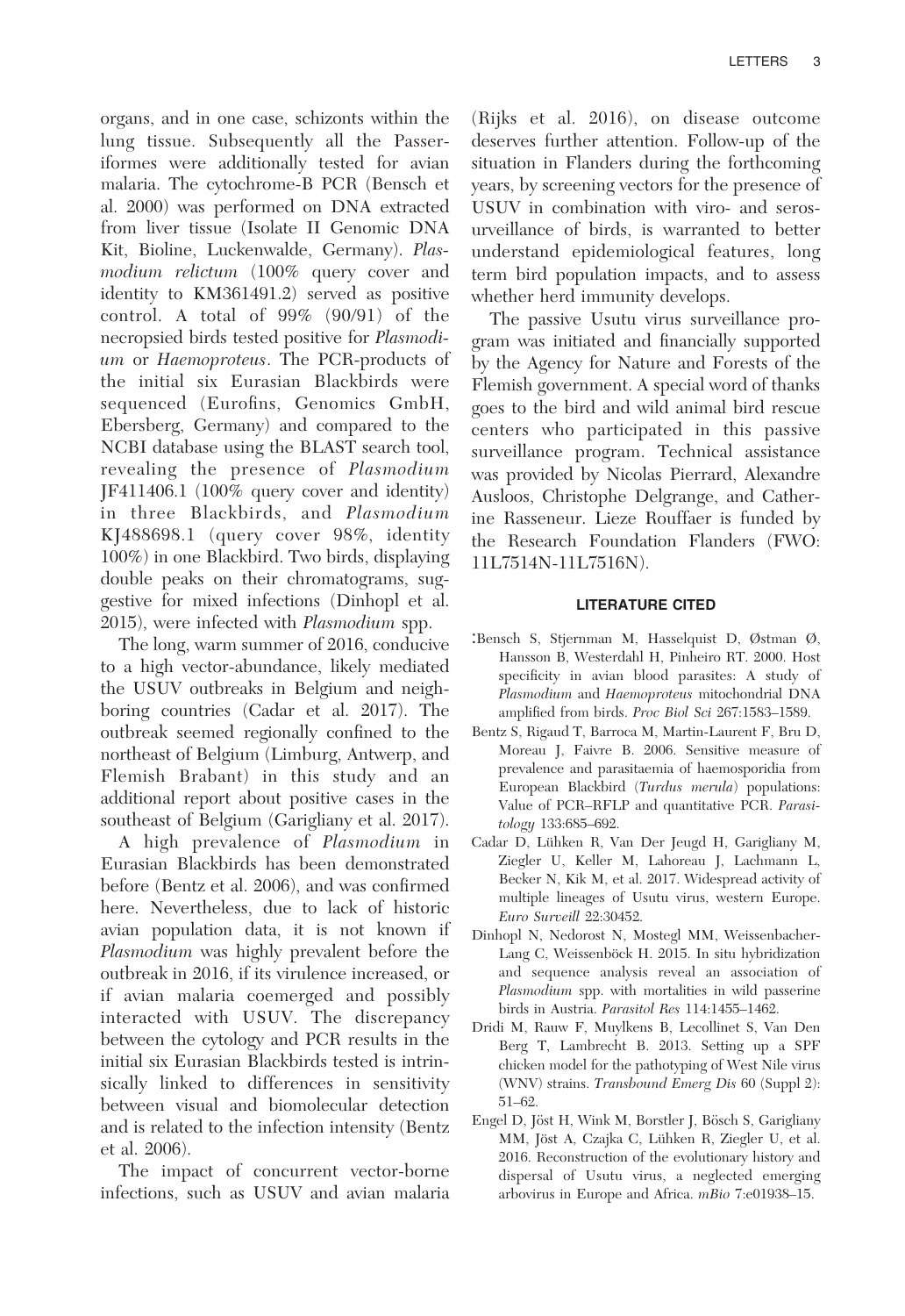organs, and in one case, schizonts within the lung tissue. Subsequently all the Passeriformes were additionally tested for avian malaria. The cytochrome-B PCR (Bensch et al. 2000) was performed on DNA extracted from liver tissue (Isolate II Genomic DNA Kit, Bioline, Luckenwalde, Germany). Plasmodium relictum (100% query cover and identity to KM361491.2) served as positive control. A total of 99% (90/91) of the necropsied birds tested positive for Plasmodium or Haemoproteus. The PCR-products of the initial six Eurasian Blackbirds were sequenced (Eurofins, Genomics GmbH, Ebersberg, Germany) and compared to the NCBI database using the BLAST search tool, revealing the presence of Plasmodium JF411406.1 (100% query cover and identity) in three Blackbirds, and Plasmodium KJ488698.1 (query cover 98%, identity 100%) in one Blackbird. Two birds, displaying double peaks on their chromatograms, suggestive for mixed infections (Dinhopl et al. 2015), were infected with Plasmodium spp.

The long, warm summer of 2016, conducive to a high vector-abundance, likely mediated the USUV outbreaks in Belgium and neighboring countries (Cadar et al. 2017). The outbreak seemed regionally confined to the northeast of Belgium (Limburg, Antwerp, and Flemish Brabant) in this study and an additional report about positive cases in the southeast of Belgium (Garigliany et al. 2017).

A high prevalence of Plasmodium in Eurasian Blackbirds has been demonstrated before (Bentz et al. 2006), and was confirmed here. Nevertheless, due to lack of historic avian population data, it is not known if Plasmodium was highly prevalent before the outbreak in 2016, if its virulence increased, or if avian malaria coemerged and possibly interacted with USUV. The discrepancy between the cytology and PCR results in the initial six Eurasian Blackbirds tested is intrinsically linked to differences in sensitivity between visual and biomolecular detection and is related to the infection intensity (Bentz et al. 2006).

The impact of concurrent vector-borne infections, such as USUV and avian malaria

(Rijks et al. 2016), on disease outcome deserves further attention. Follow-up of the situation in Flanders during the forthcoming years, by screening vectors for the presence of USUV in combination with viro- and serosurveillance of birds, is warranted to better understand epidemiological features, long term bird population impacts, and to assess whether herd immunity develops.

The passive Usutu virus surveillance program was initiated and financially supported by the Agency for Nature and Forests of the Flemish government. A special word of thanks goes to the bird and wild animal bird rescue centers who participated in this passive surveillance program. Technical assistance was provided by Nicolas Pierrard, Alexandre Ausloos, Christophe Delgrange, and Catherine Rasseneur. Lieze Rouffaer is funded by the Research Foundation Flanders (FWO: 11L7514N-11L7516N).

## LITERATURE CITED

- :Bensch S, Stjernman M, Hasselquist D, Østman Ø, Hansson B, Westerdahl H, Pinheiro RT. 2000. Host specificity in avian blood parasites: A study of Plasmodium and Haemoproteus mitochondrial DNA amplified from birds. Proc Biol Sci 267:1583–1589.
- Bentz S, Rigaud T, Barroca M, Martin-Laurent F, Bru D, Moreau J, Faivre B. 2006. Sensitive measure of prevalence and parasitaemia of haemosporidia from European Blackbird (Turdus merula) populations: Value of PCR–RFLP and quantitative PCR. Parasitology 133:685–692.
- Cadar D, Luhken R, Van Der Jeugd H, Garigliany M, ¨ Ziegler U, Keller M, Lahoreau J, Lachmann L, Becker N, Kik M, et al. 2017. Widespread activity of multiple lineages of Usutu virus, western Europe. Euro Surveill 22:30452.
- Dinhopl N, Nedorost N, Mostegl MM, Weissenbacher-Lang C, Weissenböck H. 2015. In situ hybridization and sequence analysis reveal an association of Plasmodium spp. with mortalities in wild passerine birds in Austria. Parasitol Res 114:1455–1462.
- Dridi M, Rauw F, Muylkens B, Lecollinet S, Van Den Berg T, Lambrecht B. 2013. Setting up a SPF chicken model for the pathotyping of West Nile virus (WNV) strains. Transbound Emerg Dis 60 (Suppl 2): 51–62.
- Engel D, Jöst H, Wink M, Borstler J, Bösch S, Garigliany MM, Jöst A, Czajka C, Lühken R, Ziegler U, et al. 2016. Reconstruction of the evolutionary history and dispersal of Usutu virus, a neglected emerging arbovirus in Europe and Africa. mBio 7:e01938–15.